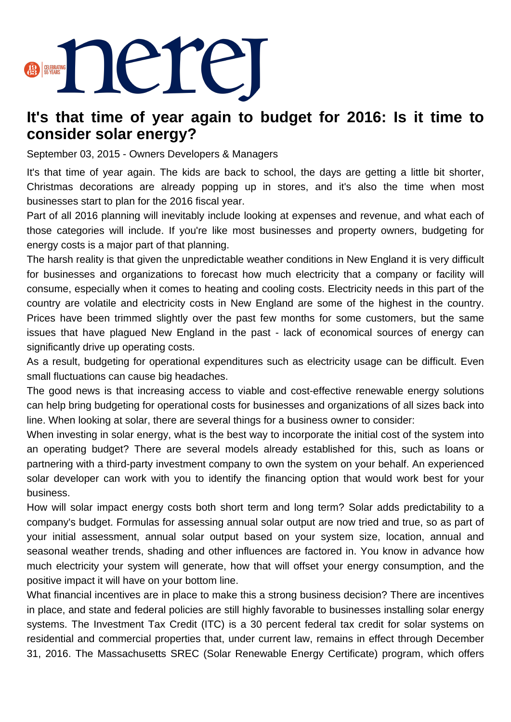

## **It's that time of year again to budget for 2016: Is it time to consider solar energy?**

September 03, 2015 - Owners Developers & Managers

It's that time of year again. The kids are back to school, the days are getting a little bit shorter, Christmas decorations are already popping up in stores, and it's also the time when most businesses start to plan for the 2016 fiscal year.

Part of all 2016 planning will inevitably include looking at expenses and revenue, and what each of those categories will include. If you're like most businesses and property owners, budgeting for energy costs is a major part of that planning.

The harsh reality is that given the unpredictable weather conditions in New England it is very difficult for businesses and organizations to forecast how much electricity that a company or facility will consume, especially when it comes to heating and cooling costs. Electricity needs in this part of the country are volatile and electricity costs in New England are some of the highest in the country. Prices have been trimmed slightly over the past few months for some customers, but the same issues that have plagued New England in the past - lack of economical sources of energy can significantly drive up operating costs.

As a result, budgeting for operational expenditures such as electricity usage can be difficult. Even small fluctuations can cause big headaches.

The good news is that increasing access to viable and cost-effective renewable energy solutions can help bring budgeting for operational costs for businesses and organizations of all sizes back into line. When looking at solar, there are several things for a business owner to consider:

When investing in solar energy, what is the best way to incorporate the initial cost of the system into an operating budget? There are several models already established for this, such as loans or partnering with a third-party investment company to own the system on your behalf. An experienced solar developer can work with you to identify the financing option that would work best for your business.

How will solar impact energy costs both short term and long term? Solar adds predictability to a company's budget. Formulas for assessing annual solar output are now tried and true, so as part of your initial assessment, annual solar output based on your system size, location, annual and seasonal weather trends, shading and other influences are factored in. You know in advance how much electricity your system will generate, how that will offset your energy consumption, and the positive impact it will have on your bottom line.

What financial incentives are in place to make this a strong business decision? There are incentives in place, and state and federal policies are still highly favorable to businesses installing solar energy systems. The Investment Tax Credit (ITC) is a 30 percent federal tax credit for solar systems on residential and commercial properties that, under current law, remains in effect through December 31, 2016. The Massachusetts SREC (Solar Renewable Energy Certificate) program, which offers